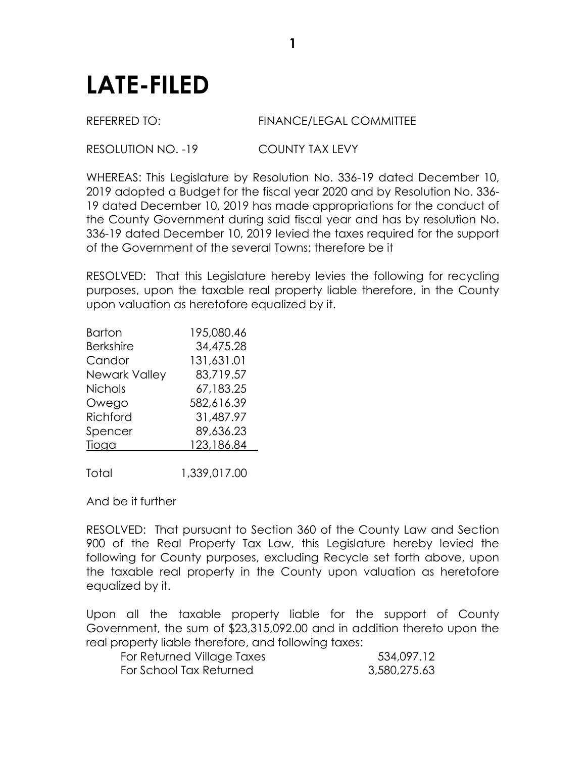## **LATE-FILED**

## REFERRED TO: FINANCE/LEGAL COMMITTEE

## RESOLUTION NO. -19 COUNTY TAX LEVY

WHEREAS: This Legislature by Resolution No. 336-19 dated December 10, 2019 adopted a Budget for the fiscal year 2020 and by Resolution No. 336- 19 dated December 10, 2019 has made appropriations for the conduct of the County Government during said fiscal year and has by resolution No. 336-19 dated December 10, 2019 levied the taxes required for the support of the Government of the several Towns; therefore be it

RESOLVED: That this Legislature hereby levies the following for recycling purposes, upon the taxable real property liable therefore, in the County upon valuation as heretofore equalized by it.

| Barton               | 195,080.46 |
|----------------------|------------|
| <b>Berkshire</b>     | 34,475.28  |
| Candor               | 131,631.01 |
| <b>Newark Valley</b> | 83,719.57  |
| <b>Nichols</b>       | 67,183.25  |
| Owego                | 582,616.39 |
| Richford             | 31,487.97  |
| Spencer              | 89,636.23  |
| Tioga                | 123,186.84 |
|                      |            |
|                      |            |

Total 1,339,017.00

And be it further

RESOLVED: That pursuant to Section 360 of the County Law and Section 900 of the Real Property Tax Law, this Legislature hereby levied the following for County purposes, excluding Recycle set forth above, upon the taxable real property in the County upon valuation as heretofore equalized by it.

Upon all the taxable property liable for the support of County Government, the sum of \$23,315,092.00 and in addition thereto upon the real property liable therefore, and following taxes:

| For Returned Village Taxes | 534,097.12   |
|----------------------------|--------------|
| For School Tax Returned    | 3,580,275.63 |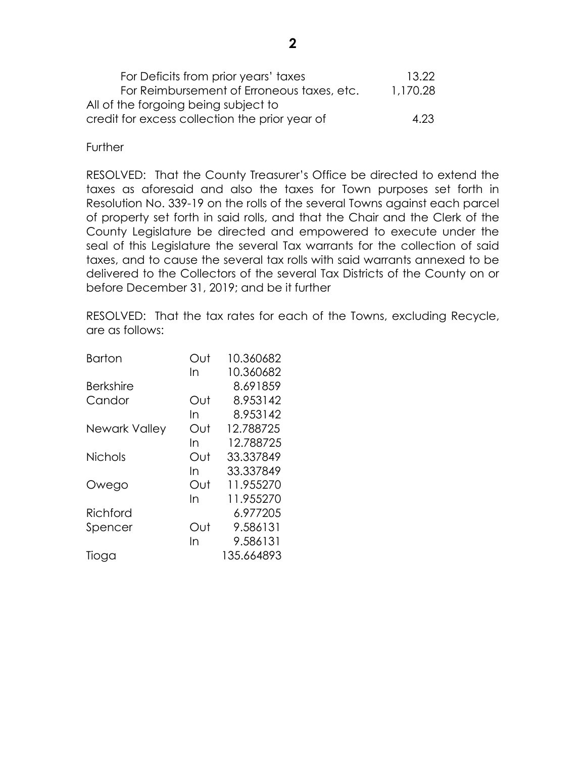| For Deficits from prior years' taxes           | 13.22    |
|------------------------------------------------|----------|
| For Reimbursement of Erroneous taxes, etc.     | 1,170.28 |
| All of the forgoing being subject to           |          |
| credit for excess collection the prior year of | 4.23     |

**Further** 

RESOLVED: That the County Treasurer's Office be directed to extend the taxes as aforesaid and also the taxes for Town purposes set forth in Resolution No. 339-19 on the rolls of the several Towns against each parcel of property set forth in said rolls, and that the Chair and the Clerk of the County Legislature be directed and empowered to execute under the seal of this Legislature the several Tax warrants for the collection of said taxes, and to cause the several tax rolls with said warrants annexed to be delivered to the Collectors of the several Tax Districts of the County on or before December 31, 2019; and be it further

RESOLVED: That the tax rates for each of the Towns, excluding Recycle, are as follows:

| <b>Barton</b>    | Out | 10.360682  |
|------------------|-----|------------|
|                  | In  | 10.360682  |
| <b>Berkshire</b> |     | 8.691859   |
| Candor           | Out | 8.953142   |
|                  | In  | 8.953142   |
| Newark Valley    | Out | 12.788725  |
|                  | In  | 12.788725  |
| <b>Nichols</b>   | Out | 33.337849  |
|                  | In  | 33.337849  |
| Owego            | Out | 11.955270  |
|                  | In  | 11.955270  |
| Richford         |     | 6.977205   |
| Spencer          | Out | 9.586131   |
|                  | In  | 9.586131   |
| Tioga            |     | 135.664893 |
|                  |     |            |